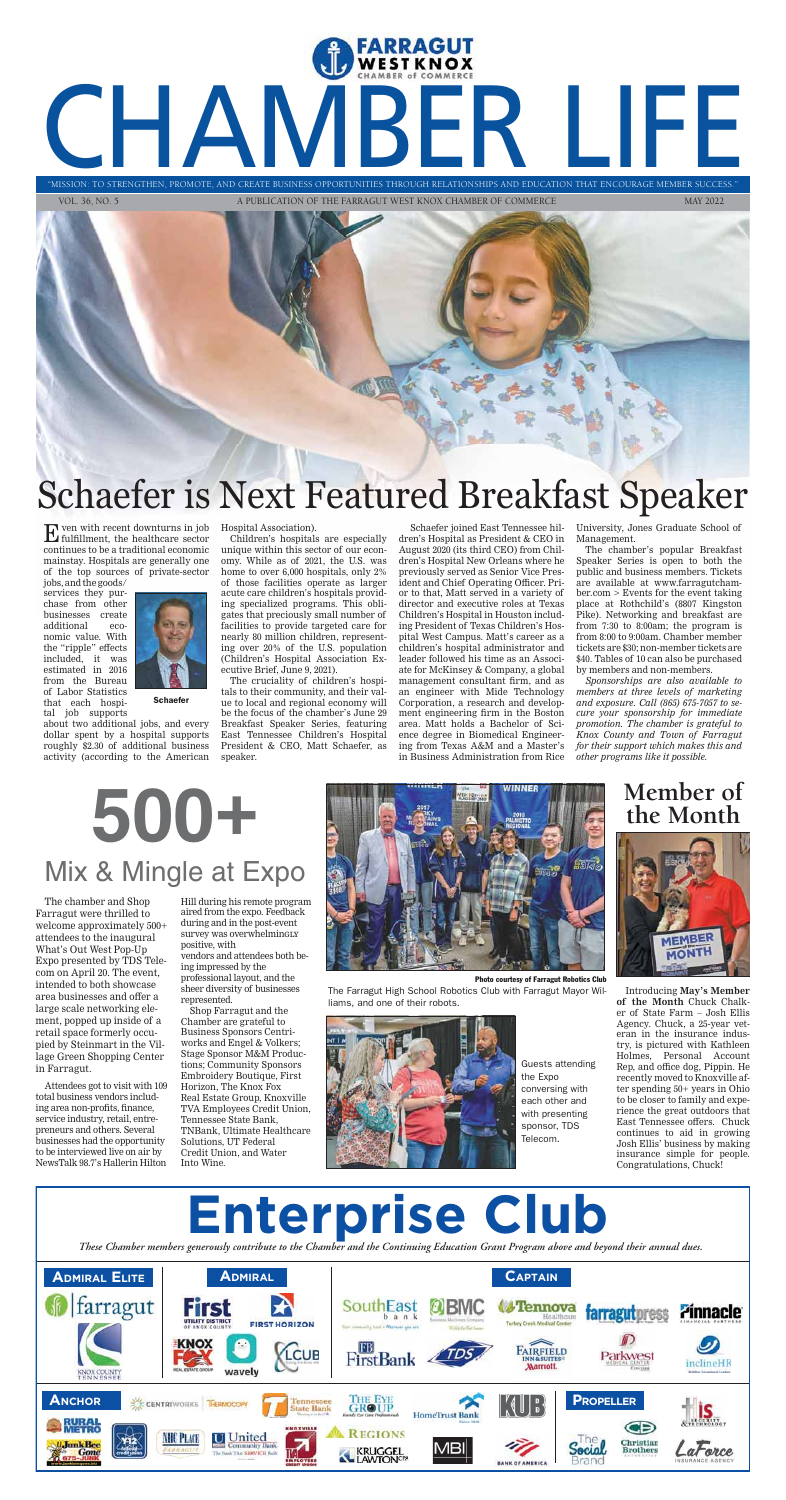$\mathbf E$  ven with recent downturns in job fulfillment, the healthcare sector continues to be a traditional economic mainstay. Hospitals are generally one of the top sources of private-sector

jobs, and the goods/ services they purchase from other businesses create additional economic value. With the "ripple" effects included, it was estimated in 2016 from the Bureau of Labor Statistics that each hospital job supports



**Schaefer** 

about two additional jobs, and every dollar spent by a hospital supports roughly \$2.30 of additional business activity (according to the American

Hospital Association).

Children's hospitals are especially unique within this sector of our economy. While as of 2021, the U.S. was home to over 6,000 hospitals, only 2% of those facilities operate as larger acute care children's hospitals providing specialized programs. This obligates that preciously small number of facilities to provide targeted care for nearly 80 million children, representing over 20% of the U.S. population (Children's Hospital Association Executive Brief, June 9, 2021).

The cruciality of children's hospitals to their community, and their value to local and regional economy will be the focus of the chamber's June 29 Breakfast Speaker Series, featuring East Tennessee Children's Hospital President & CEO, Matt Schaefer, as speaker.

 Schaefer joined East Tennessee hildren's Hospital as President & CEO in August 2020 (its third CEO) from Children's Hospital New Orleans where he previously served as Senior Vice President and Chief Operating Officer. Prior to that, Matt served in a variety of director and executive roles at Texas Children's Hospital in Houston including President of Texas Children's Hospital West Campus. Matt's career as a children's hospital administrator and leader followed his time as an Associate for McKinsey & Company, a global management consultant firm, and as an engineer with Mide Technology Corporation, a research and development engineering firm in the Boston area. Matt holds a Bachelor of Science degree in Biomedical Engineering from Texas A&M and a Master's in Business Administration from Rice

University, Jones Graduate School of Management.

The chamber's popular Breakfast Speaker Series is open to both the public and business members. Tickets are available at www.farragutchamber.com > Events for the event taking place at Rothchild's (8807 Kingston Pike). Networking and breakfast are from 7:30 to 8:00am; the program is from 8:00 to 9:00am. Chamber member tickets are \$30; non-member tickets are \$40. Tables of 10 can also be purchased by members and non-members.

*Sponsorships are also available to members at three levels of marketing and exposure. Call (865) 675-7057 to secure your sponsorship for immediate promotion. The chamber is grateful to Knox County and Town of Farragut for their support which makes this and other programs like it possible.*

# FARRAGUT "MISSION: TO STRENGTHEN, PROMOTE, AND CREATE BUSINESS OPPORTUNITIES THROUGH RELATIONSHIPS AND EDUCATION THAT ENCOURAGE MEMBER SUCCESS."

"MISSION: TO STRENGTHEN, PROMOTE, AND CREATE BUSINESS OPPORTUNITIES THROUGH RELATIONSHIPS AND EDUCATION THAT ENCOURAGE MEMBER S

VOL. 36, NO. 5 A PUBLICATION OF THE FARRAGUT WEST KNOX CHAMBER OF COMMERCE MAY 2022



MEMBER **MONTH** 

# Schaefer is Next Featured Breakfast Speaker

# **500+** Mix & Mingle at Expo



The chamber and Shop Farragut were thrilled to welcome approximately 500+ attendees to the inaugural What's Out West Pop-Up Expo presented by TDS Telecom on April 20. The event, intended to both showcase area businesses and offer a large scale networking element, popped up inside of a retail space formerly occupied by Steinmart in the Village Green Shopping Center in Farragut.

Attendees got to visit with 109 total business vendors including area non-profits, finance, service industry, retail, entrepreneurs and others. Several businesses had the opportunity to be interviewed live on air by NewsTalk 98.7's Hallerin Hilton

Hill during his remote program aired from the expo. Feedback during and in the post-event survey was overwhelmingly positive, with vendors and attendees both being impressed by the professional layout, and the sheer diversity of businesses represented.

Shop Farragut and the Chamber are grateful to Business Sponsors Centriworks and Engel & Volkers; Stage Sponsor M&M Productions; Community Sponsors Embroidery Boutique, First Horizon, The Knox Fox Real Estate Group, Knoxville TVA Employees Credit Union, Tennessee State Bank, TNBank, Ultimate Healthcare Solutions, UT Federal Credit Union, and Water Into Wine.

Photo courtesy of Farragut Robotics Club

The Farragut High School Robotics Club with Farragut Mayor Williams, and one of their robots.



Guests attending the Expo conversing with each other and with presenting sponsor, TDS Telecom.

### **Member of the Month**



Introducing **May's Member of the Month** Chuck Chalker of State Farm – Josh Ellis Agency. Chuck, a 25-year veteran in the insurance industry, is pictured with Kathleen Holmes, Personal Account Rep, and office dog, Pippin. He recently moved to Knoxville after spending 50+ years in Ohio to be closer to family and experience the great outdoors that East Tennessee offers. Chuck continues to aid in growing Josh Ellis' business by making insurance simple for people. Congratulations, Chuck!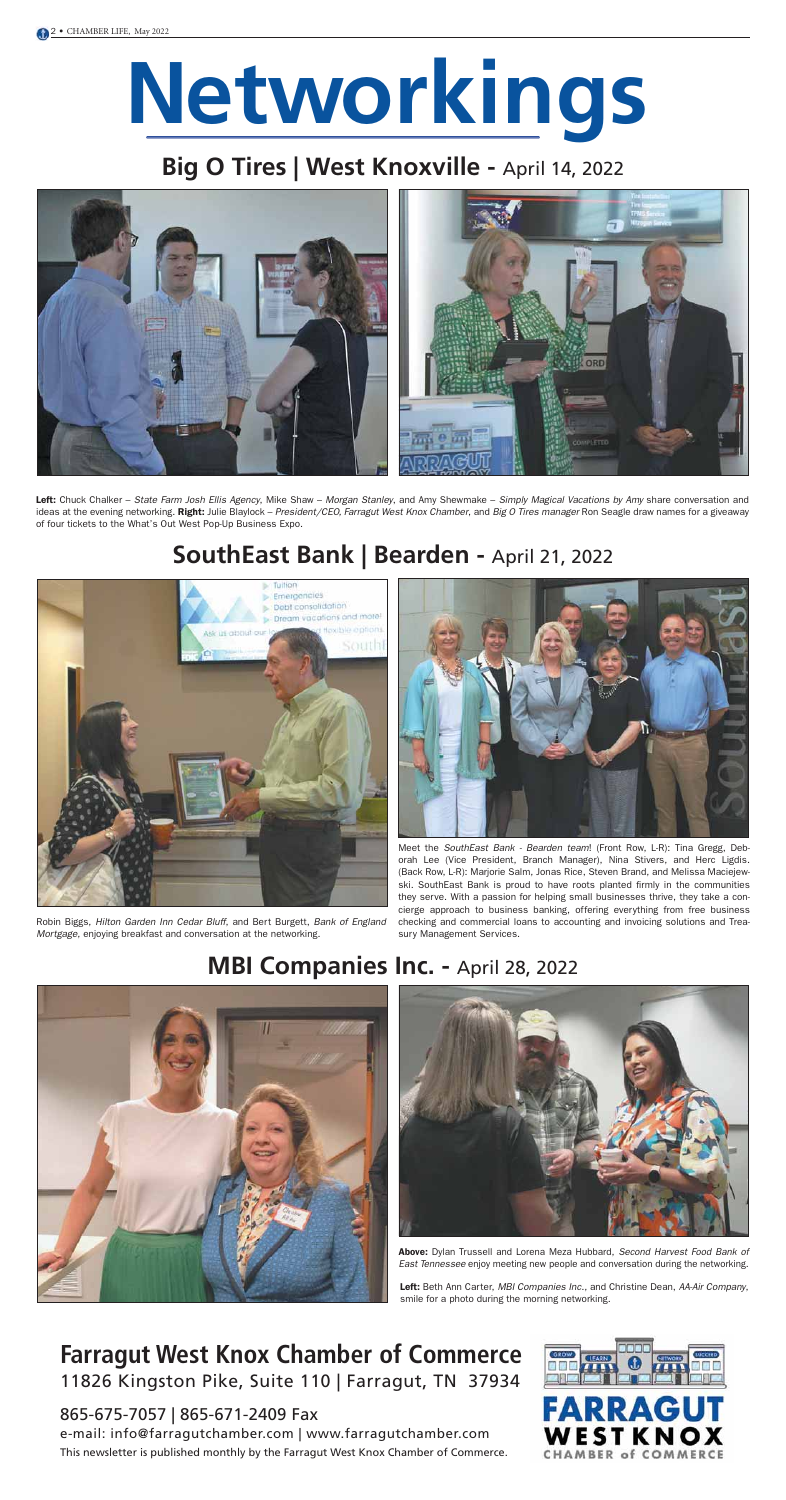# **Networkings**

## Big O Tires | West Knoxville - April 14, 2022



## **SouthEast Bank | Bearden -** April 21, 2022





Left: Chuck Chalker – State Farm Josh Ellis Agency, Mike Shaw – Morgan Stanley, and Amy Shewmake – Simply Magical Vacations by Amy share conversation and ideas at the evening networking. Right: Julie Blaylock – President/CEO, Farragut West Knox Chamber, and Big O Tires manager Ron Seagle draw names for a giveaway of four tickets to the What's Out West Pop-Up Business Expo.

> Meet the SouthEast Bank - Bearden team! (Front Row, L-R): Tina Gregg, Deborah Lee (Vice President, Branch Manager), Nina Stivers, and Herc Ligdis. (Back Row, L-R): Marjorie Salm, Jonas Rice, Steven Brand, and Melissa Maciejewski. SouthEast Bank is proud to have roots planted firmly in the communities they serve. With a passion for helping small businesses thrive, they take a concierge approach to business banking, offering everything from free business checking and commercial loans to accounting and invoicing solutions and Treasury Management Services.



Left: Beth Ann Carter, MBI Companies Inc., and Christine Dean, AA-Air Company, smile for a photo during the morning networking.

Above: Dylan Trussell and Lorena Meza Hubbard, Second Harvest Food Bank of East Tennessee enjoy meeting new people and conversation during the networking.

Robin Biggs, Hilton Garden Inn Cedar Bluff, and Bert Burgett, Bank of England Mortgage, enjoying breakfast and conversation at the networking.

### **MBI Companies Inc. - April 28, 2022**





### **Farragut West Knox Chamber of Commerce** 11826 Kingston Pike, Suite 110 | Farragut, TN 37934

865-675-7057 | 865-671-2409 Fax

e-mail: info@farragutchamber.com | www.farragutchamber.com This newsletter is published monthly by the Farragut West Knox Chamber of Commerce.

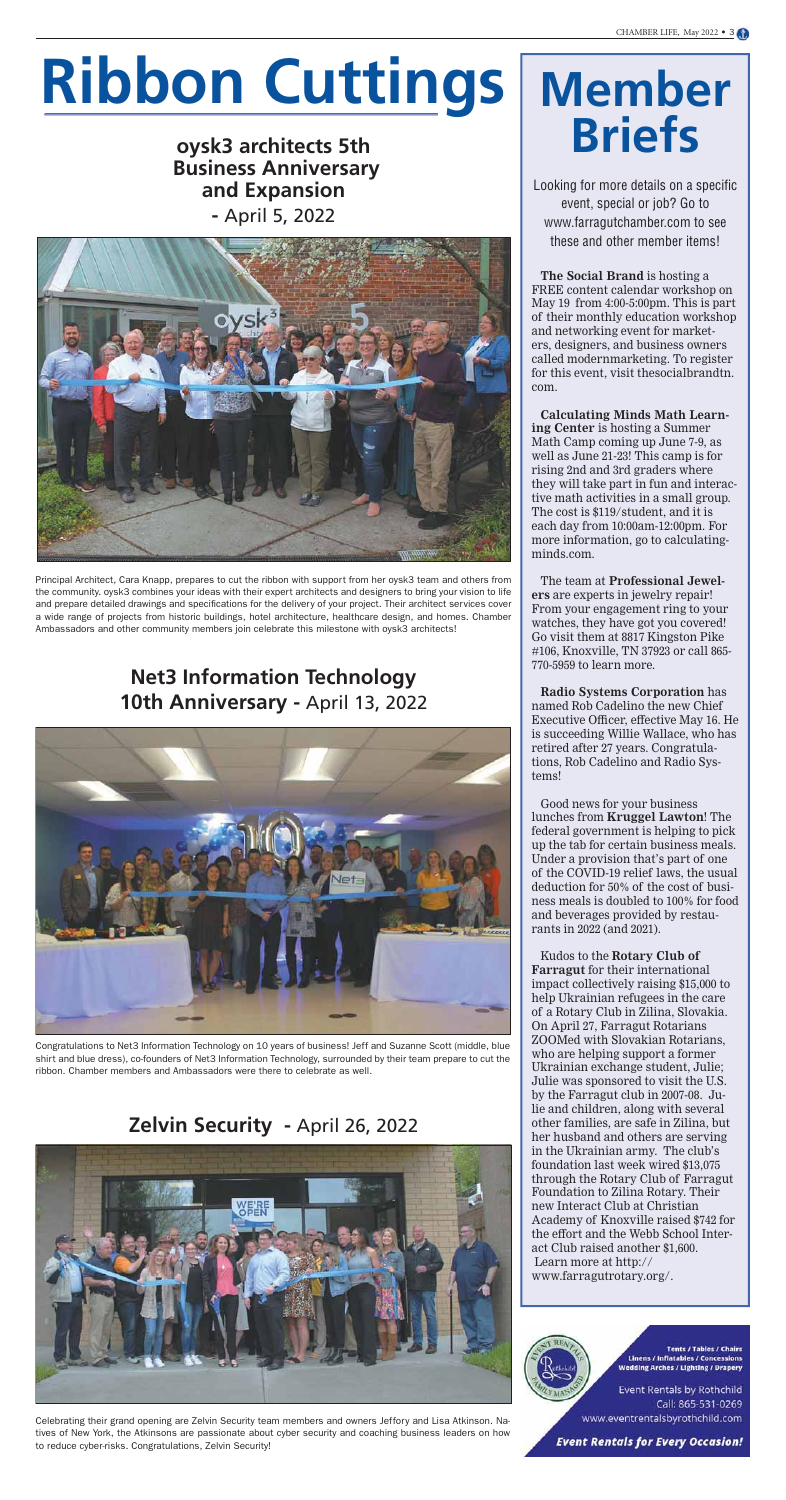# **Ribbon Cuttings**

### **oysk3 architects 5th Business Anniversary and Expansion -** April 5, 2022



## **Net3 Information Technology 10th Anniversary -** April 13, 2022



### **Zelvin Security -** April 26, 2022



# **Member Briefs**

Looking for more details on a specific event, special or job? Go to www.farragutchamber.com to see these and other member items!

**The Social Brand** is hosting a FREE content calendar workshop on May 19 from 4:00-5:00pm. This is part of their monthly education workshop and networking event for marketers, designers, and business owners called modernmarketing. To register for this event, visit thesocialbrandtn. com.

**Calculating Minds Math Learning Center** is hosting a Summer Math Camp coming up June 7-9, as well as June 21-23! This camp is for rising 2nd and 3rd graders where they will take part in fun and interactive math activities in a small group. The cost is \$119/student, and it is each day from 10:00am-12:00pm. For more information, go to calculatingminds.com.

The team at **Professional Jewelers** are experts in jewelry repair! From your engagement ring to your watches, they have got you covered! Go visit them at 8817 Kingston Pike #106, Knoxville, TN 37923 or call 865- 770-5959 to learn more.

**Radio Systems Corporation** has named Rob Cadelino the new Chief Executive Officer, effective May 16. He is succeeding Willie Wallace, who has retired after 27 years. Congratulations, Rob Cadelino and Radio Systems!

Good news for your business lunches from **Kruggel Lawton**! The federal government is helping to pick up the tab for certain business meals. Under a provision that's part of one of the COVID-19 relief laws, the usual deduction for 50% of the cost of busi-

ness meals is doubled to 100% for food and beverages provided by restaurants in 2022 (and 2021).

Kudos to the **Rotary Club of Farragut** for their international impact collectively raising \$15,000 to help Ukrainian refugees in the care of a Rotary Club in Zilina, Slovakia. On April 27, Farragut Rotarians ZOOMed with Slovakian Rotarians, who are helping support a former Ukrainian exchange student, Julie; Julie was sponsored to visit the U.S. by the Farragut club in 2007-08. Julie and children, along with several other families, are safe in Zilina, but her husband and others are serving in the Ukrainian army. The club's foundation last week wired \$13,075 through the Rotary Club of Farragut Foundation to Zilina Rotary. Their new Interact Club at Christian Academy of Knoxville raised \$742 for the effort and the Webb School Interact Club raised another \$1,600. Learn more at http:// www.farragutrotary.org/.



**Tents / Tables / Chairs Linens / Inflatables / Concessions Wedding Arches / Lighting / Drapery** 

Event Rentals by Rothchild Call: 865-531-0269 www.eventrentalsbyrothchild.com

**Event Rentals for Every Occasion!** 

Principal Architect, Cara Knapp, prepares to cut the ribbon with support from her oysk3 team and others from the community. oysk3 combines your ideas with their expert architects and designers to bring your vision to life and prepare detailed drawings and specifications for the delivery of your project. Their architect services cover a wide range of projects from historic buildings, hotel architecture, healthcare design, and homes. Chamber Ambassadors and other community members join celebrate this milestone with oysk3 architects!

Congratulations to Net3 Information Technology on 10 years of business! Jeff and Suzanne Scott (middle, blue shirt and blue dress), co-founders of Net3 Information Technology, surrounded by their team prepare to cut the ribbon. Chamber members and Ambassadors were there to celebrate as well.

Celebrating their grand opening are Zelvin Security team members and owners Jeffory and Lisa Atkinson. Natives of New York, the Atkinsons are passionate about cyber security and coaching business leaders on how to reduce cyber-risks. Congratulations, Zelvin Security!